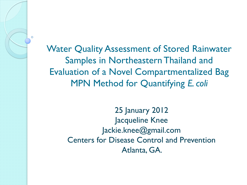Water Quality Assessment of Stored Rainwater Samples in Northeastern Thailand and Evaluation of a Novel Compartmentalized Bag MPN Method for Quantifying *E. coli*

> 25 January 2012 Jacqueline Knee Jackie.knee@gmail.com Centers for Disease Control and Prevention Atlanta, GA.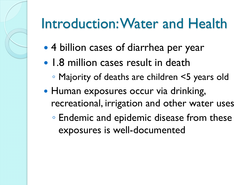# Introduction: Water and Health

- 4 billion cases of diarrhea per year
- 1.8 million cases result in death
	- Majority of deaths are children <5 years old
- Human exposures occur via drinking, recreational, irrigation and other water uses
	- Endemic and epidemic disease from these exposures is well-documented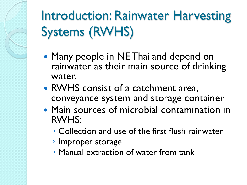Introduction: Rainwater Harvesting Systems (RWHS)

- Many people in NE Thailand depend on rainwater as their main source of drinking water.
- RWHS consist of a catchment area, conveyance system and storage container
- Main sources of microbial contamination in RWHS:
	- Collection and use of the first flush rainwater
	- Improper storage
	- Manual extraction of water from tank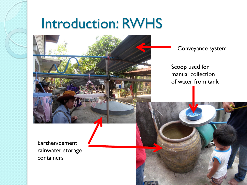## Introduction: RWHS



Conveyance system

Scoop used for manual collection of water from tank

Earthen/cement rainwater storage containers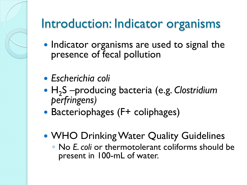## Introduction: Indicator organisms

- Indicator organisms are used to signal the presence of fecal pollution
- *Escherichia coli*
- H<sup>2</sup> S –producing bacteria (e.g. *Clostridium perfringens)*
- Bacteriophages (F+ coliphages)
- WHO Drinking Water Quality Guidelines
	- No *E. coli* or thermotolerant coliforms should be present in 100-mL of water.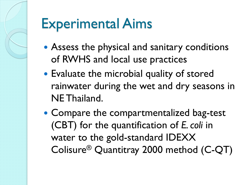# Experimental Aims

- Assess the physical and sanitary conditions of RWHS and local use practices
- Evaluate the microbial quality of stored rainwater during the wet and dry seasons in NE Thailand.
- Compare the compartmentalized bag-test (CBT) for the quantification of *E. coli* in water to the gold-standard IDEXX Colisure® Quantitray 2000 method (C-QT)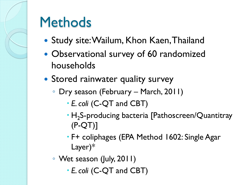

# **Methods**

- Study site: Wailum, Khon Kaen, Thailand
- Observational survey of 60 randomized households
- Stored rainwater quality survey
	- Dry season (February March, 2011)
		- *E. coli* (C-QT and CBT)
		- H<sub>2</sub>S-producing bacteria [Pathoscreen/Quantitray (P-QT)]
		- F+ coliphages (EPA Method 1602: Single Agar Layer)\*
	- Wet season (July, 2011)
		- *E. coli* (C-QT and CBT)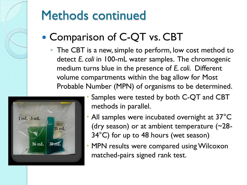

### • Comparison of C-QT vs. CBT

◦ The CBT is a new, simple to perform, low cost method to detect *E. coli* in 100-mL water samples. The chromogenic medium turns blue in the presence of *E. coli*. Different volume compartments within the bag allow for Most Probable Number (MPN) of organisms to be determined.



- Samples were tested by both C-QT and CBT methods in parallel.
- All samples were incubated overnight at 37°C (dry season) or at ambient temperature (~28- 34°C) for up to 48 hours (wet season)
- MPN results were compared using Wilcoxon matched-pairs signed rank test.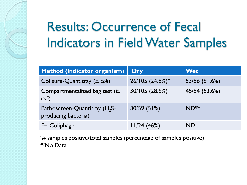# Results: Occurrence of Fecal Indicators in Field Water Samples

| Method (indicator organism)                              | <b>Dry</b>      | <b>Wet</b>       |
|----------------------------------------------------------|-----------------|------------------|
| Colisure-Quantitray (E. coli)                            | 26/105 (24.8%)* | 53/86 (61.6%)    |
| Compartmentalized bag test (E.<br>coli)                  | 30/105 (28.6%)  | 45/84 (53.6%)    |
| Pathoscreen-Quantitray $(H_2S)$ -<br>producing bacteria) | 30/59 (51%)     | ND <sup>**</sup> |
| F+ Coliphage                                             | 11/24(46%)      | <b>ND</b>        |

\*# samples positive/total samples (percentage of samples positive) \*\*No Data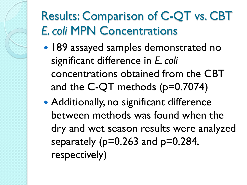## Results: Comparison of C-QT vs. CBT *E. coli* MPN Concentrations

- 189 assayed samples demonstrated no significant difference in *E. coli* concentrations obtained from the CBT and the C-QT methods (p=0.7074)
- Additionally, no significant difference between methods was found when the dry and wet season results were analyzed separately ( $p=0.263$  and  $p=0.284$ , respectively)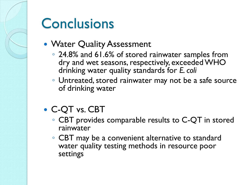## **Conclusions**

- Water Quality Assessment
	- 24.8% and 61.6% of stored rainwater samples from dry and wet seasons, respectively, exceeded WHO drinking water quality standards for *E. coli*
	- Untreated, stored rainwater may not be a safe source of drinking water
- C-QT vs. CBT
	- CBT provides comparable results to C-QT in stored rainwater
	- CBT may be a convenient alternative to standard water quality testing methods in resource poor settings